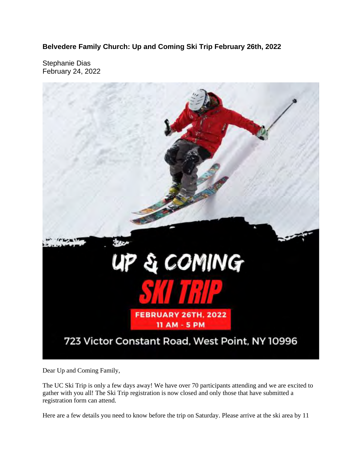**Belvedere Family Church: Up and Coming Ski Trip February 26th, 2022**

Stephanie Dias February 24, 2022



Dear Up and Coming Family,

The UC Ski Trip is only a few days away! We have over 70 participants attending and we are excited to gather with you all! The Ski Trip registration is now closed and only those that have submitted a registration form can attend.

Here are a few details you need to know before the trip on Saturday. Please arrive at the ski area by 11